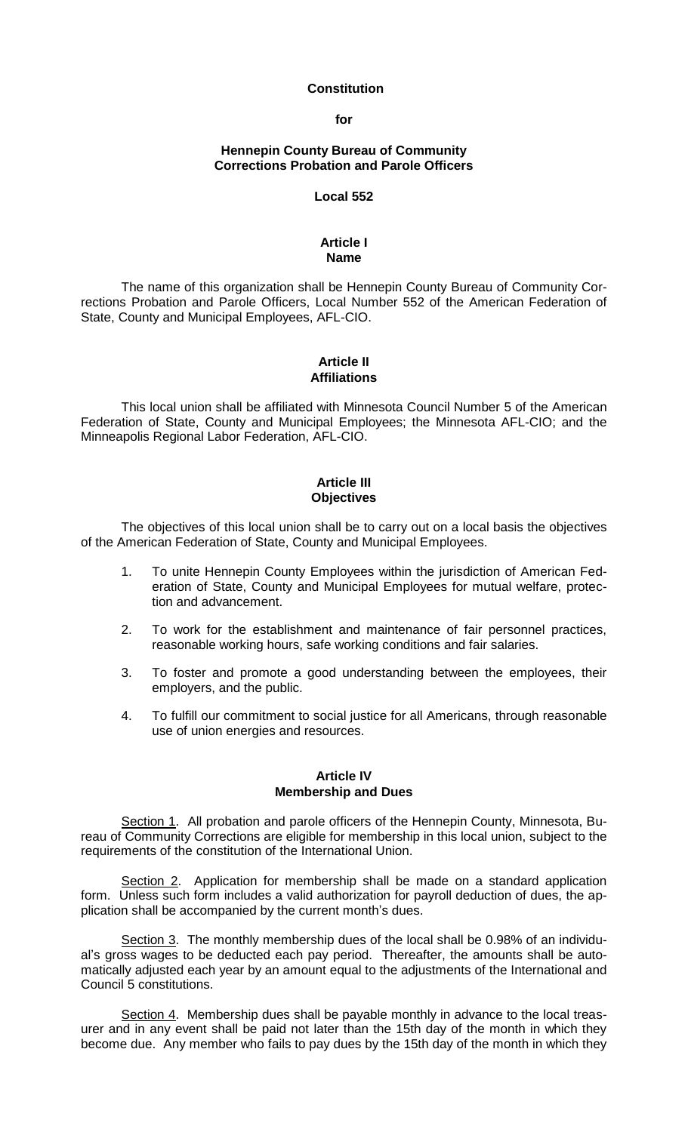### **Constitution**

**for**

### **Hennepin County Bureau of Community Corrections Probation and Parole Officers**

#### **Local 552**

# **Article I Name**

The name of this organization shall be Hennepin County Bureau of Community Corrections Probation and Parole Officers, Local Number 552 of the American Federation of State, County and Municipal Employees, AFL-CIO.

# **Article II Affiliations**

This local union shall be affiliated with Minnesota Council Number 5 of the American Federation of State, County and Municipal Employees; the Minnesota AFL-CIO; and the Minneapolis Regional Labor Federation, AFL-CIO.

# **Article III Objectives**

The objectives of this local union shall be to carry out on a local basis the objectives of the American Federation of State, County and Municipal Employees.

- 1. To unite Hennepin County Employees within the jurisdiction of American Federation of State, County and Municipal Employees for mutual welfare, protection and advancement.
- 2. To work for the establishment and maintenance of fair personnel practices, reasonable working hours, safe working conditions and fair salaries.
- 3. To foster and promote a good understanding between the employees, their employers, and the public.
- 4. To fulfill our commitment to social justice for all Americans, through reasonable use of union energies and resources.

# **Article IV Membership and Dues**

Section 1. All probation and parole officers of the Hennepin County, Minnesota, Bureau of Community Corrections are eligible for membership in this local union, subject to the requirements of the constitution of the International Union.

Section 2. Application for membership shall be made on a standard application form. Unless such form includes a valid authorization for payroll deduction of dues, the application shall be accompanied by the current month's dues.

Section 3. The monthly membership dues of the local shall be 0.98% of an individual's gross wages to be deducted each pay period. Thereafter, the amounts shall be automatically adjusted each year by an amount equal to the adjustments of the International and Council 5 constitutions.

Section 4. Membership dues shall be payable monthly in advance to the local treasurer and in any event shall be paid not later than the 15th day of the month in which they become due. Any member who fails to pay dues by the 15th day of the month in which they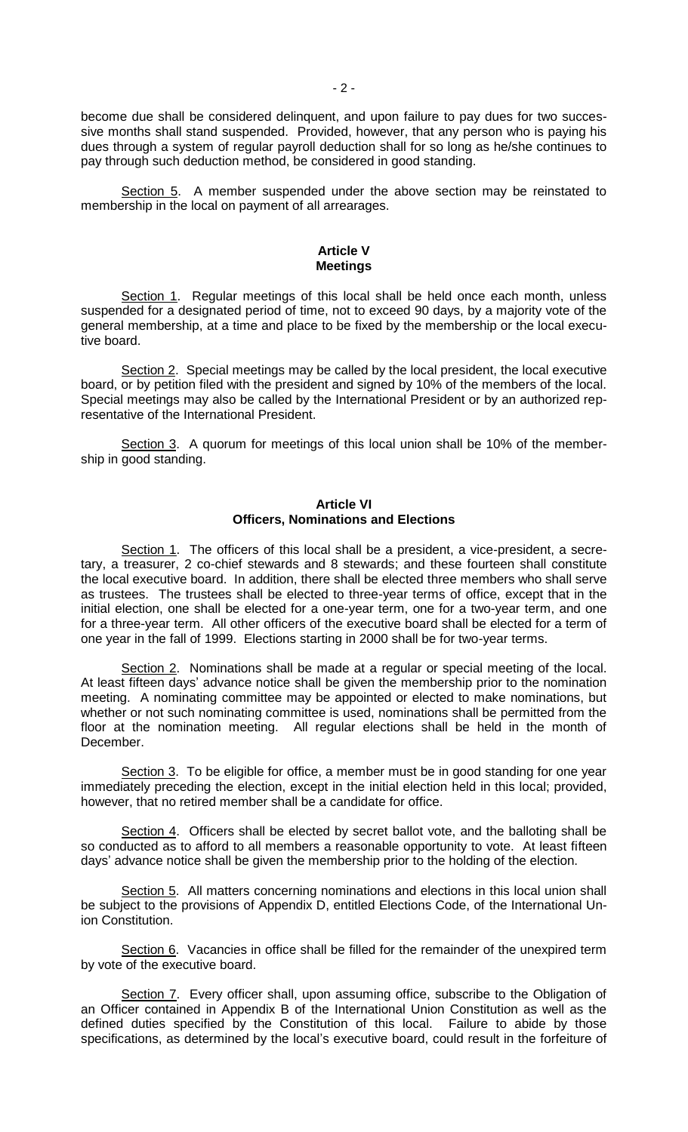become due shall be considered delinquent, and upon failure to pay dues for two successive months shall stand suspended. Provided, however, that any person who is paying his dues through a system of regular payroll deduction shall for so long as he/she continues to pay through such deduction method, be considered in good standing.

Section 5. A member suspended under the above section may be reinstated to membership in the local on payment of all arrearages.

## **Article V Meetings**

Section 1. Regular meetings of this local shall be held once each month, unless suspended for a designated period of time, not to exceed 90 days, by a majority vote of the general membership, at a time and place to be fixed by the membership or the local executive board.

Section 2. Special meetings may be called by the local president, the local executive board, or by petition filed with the president and signed by 10% of the members of the local. Special meetings may also be called by the International President or by an authorized representative of the International President.

Section 3. A quorum for meetings of this local union shall be 10% of the membership in good standing.

# **Article VI Officers, Nominations and Elections**

Section 1. The officers of this local shall be a president, a vice-president, a secretary, a treasurer, 2 co-chief stewards and 8 stewards; and these fourteen shall constitute the local executive board. In addition, there shall be elected three members who shall serve as trustees. The trustees shall be elected to three-year terms of office, except that in the initial election, one shall be elected for a one-year term, one for a two-year term, and one for a three-year term. All other officers of the executive board shall be elected for a term of one year in the fall of 1999. Elections starting in 2000 shall be for two-year terms.

Section 2. Nominations shall be made at a regular or special meeting of the local. At least fifteen days' advance notice shall be given the membership prior to the nomination meeting. A nominating committee may be appointed or elected to make nominations, but whether or not such nominating committee is used, nominations shall be permitted from the floor at the nomination meeting. All regular elections shall be held in the month of December.

Section 3. To be eligible for office, a member must be in good standing for one year immediately preceding the election, except in the initial election held in this local; provided, however, that no retired member shall be a candidate for office.

Section 4. Officers shall be elected by secret ballot vote, and the balloting shall be so conducted as to afford to all members a reasonable opportunity to vote. At least fifteen days' advance notice shall be given the membership prior to the holding of the election.

Section 5. All matters concerning nominations and elections in this local union shall be subject to the provisions of Appendix D, entitled Elections Code, of the International Union Constitution.

Section 6. Vacancies in office shall be filled for the remainder of the unexpired term by vote of the executive board.

Section 7. Every officer shall, upon assuming office, subscribe to the Obligation of an Officer contained in Appendix B of the International Union Constitution as well as the defined duties specified by the Constitution of this local. Failure to abide by those specifications, as determined by the local's executive board, could result in the forfeiture of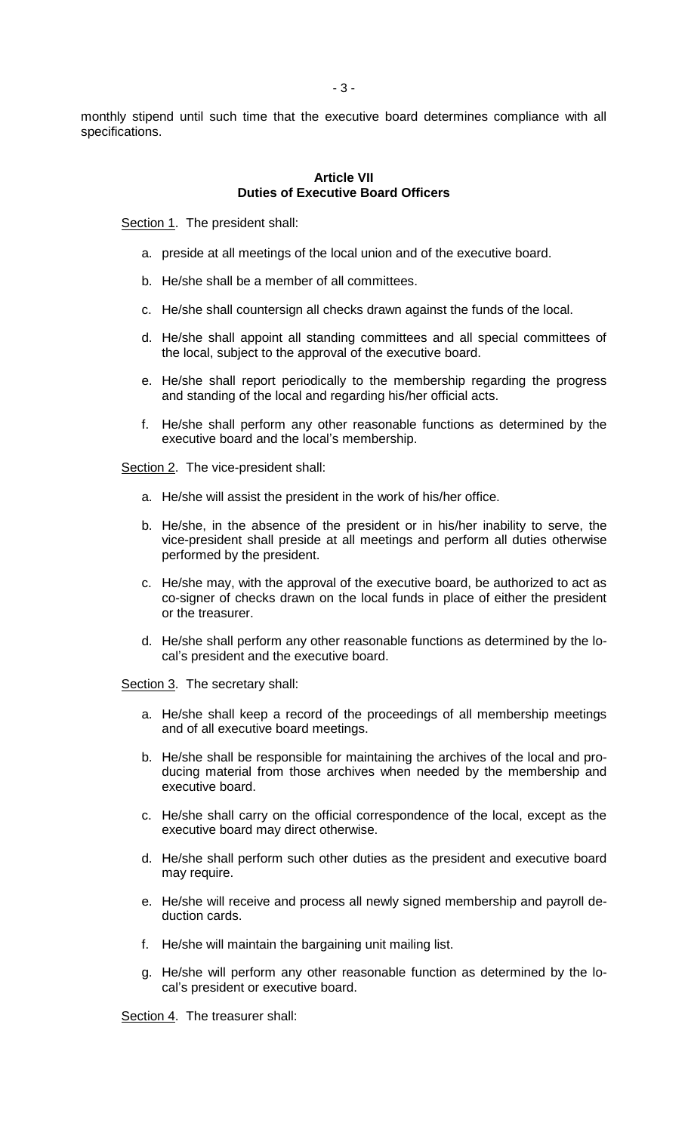monthly stipend until such time that the executive board determines compliance with all specifications.

# **Article VII Duties of Executive Board Officers**

Section 1. The president shall:

- a. preside at all meetings of the local union and of the executive board.
- b. He/she shall be a member of all committees.
- c. He/she shall countersign all checks drawn against the funds of the local.
- d. He/she shall appoint all standing committees and all special committees of the local, subject to the approval of the executive board.
- e. He/she shall report periodically to the membership regarding the progress and standing of the local and regarding his/her official acts.
- f. He/she shall perform any other reasonable functions as determined by the executive board and the local's membership.

Section 2. The vice-president shall:

- a. He/she will assist the president in the work of his/her office.
- b. He/she, in the absence of the president or in his/her inability to serve, the vice-president shall preside at all meetings and perform all duties otherwise performed by the president.
- c. He/she may, with the approval of the executive board, be authorized to act as co-signer of checks drawn on the local funds in place of either the president or the treasurer.
- d. He/she shall perform any other reasonable functions as determined by the local's president and the executive board.

Section 3. The secretary shall:

- a. He/she shall keep a record of the proceedings of all membership meetings and of all executive board meetings.
- b. He/she shall be responsible for maintaining the archives of the local and producing material from those archives when needed by the membership and executive board.
- c. He/she shall carry on the official correspondence of the local, except as the executive board may direct otherwise.
- d. He/she shall perform such other duties as the president and executive board may require.
- e. He/she will receive and process all newly signed membership and payroll deduction cards.
- f. He/she will maintain the bargaining unit mailing list.
- g. He/she will perform any other reasonable function as determined by the local's president or executive board.

Section 4. The treasurer shall: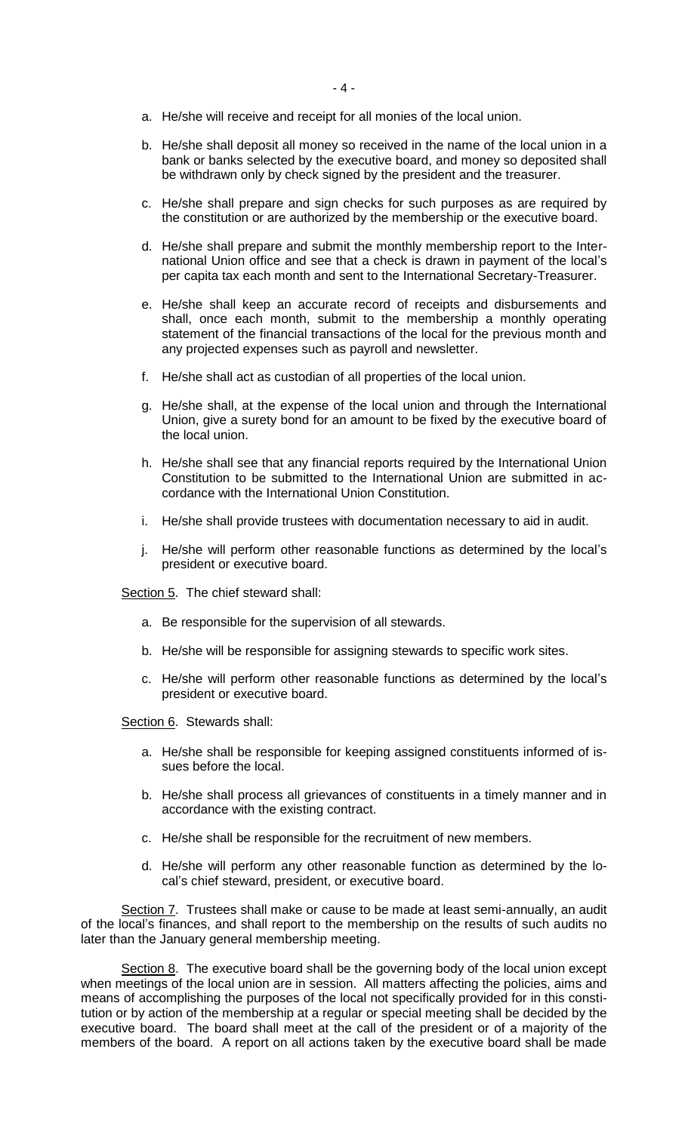- a. He/she will receive and receipt for all monies of the local union.
- b. He/she shall deposit all money so received in the name of the local union in a bank or banks selected by the executive board, and money so deposited shall be withdrawn only by check signed by the president and the treasurer.
- c. He/she shall prepare and sign checks for such purposes as are required by the constitution or are authorized by the membership or the executive board.
- d. He/she shall prepare and submit the monthly membership report to the International Union office and see that a check is drawn in payment of the local's per capita tax each month and sent to the International Secretary-Treasurer.
- e. He/she shall keep an accurate record of receipts and disbursements and shall, once each month, submit to the membership a monthly operating statement of the financial transactions of the local for the previous month and any projected expenses such as payroll and newsletter.
- f. He/she shall act as custodian of all properties of the local union.
- g. He/she shall, at the expense of the local union and through the International Union, give a surety bond for an amount to be fixed by the executive board of the local union.
- h. He/she shall see that any financial reports required by the International Union Constitution to be submitted to the International Union are submitted in accordance with the International Union Constitution.
- i. He/she shall provide trustees with documentation necessary to aid in audit.
- j. He/she will perform other reasonable functions as determined by the local's president or executive board.

Section 5. The chief steward shall:

- a. Be responsible for the supervision of all stewards.
- b. He/she will be responsible for assigning stewards to specific work sites.
- c. He/she will perform other reasonable functions as determined by the local's president or executive board.

Section 6. Stewards shall:

- a. He/she shall be responsible for keeping assigned constituents informed of issues before the local.
- b. He/she shall process all grievances of constituents in a timely manner and in accordance with the existing contract.
- c. He/she shall be responsible for the recruitment of new members.
- d. He/she will perform any other reasonable function as determined by the local's chief steward, president, or executive board.

Section 7. Trustees shall make or cause to be made at least semi-annually, an audit of the local's finances, and shall report to the membership on the results of such audits no later than the January general membership meeting.

Section 8. The executive board shall be the governing body of the local union except when meetings of the local union are in session. All matters affecting the policies, aims and means of accomplishing the purposes of the local not specifically provided for in this constitution or by action of the membership at a regular or special meeting shall be decided by the executive board. The board shall meet at the call of the president or of a majority of the members of the board. A report on all actions taken by the executive board shall be made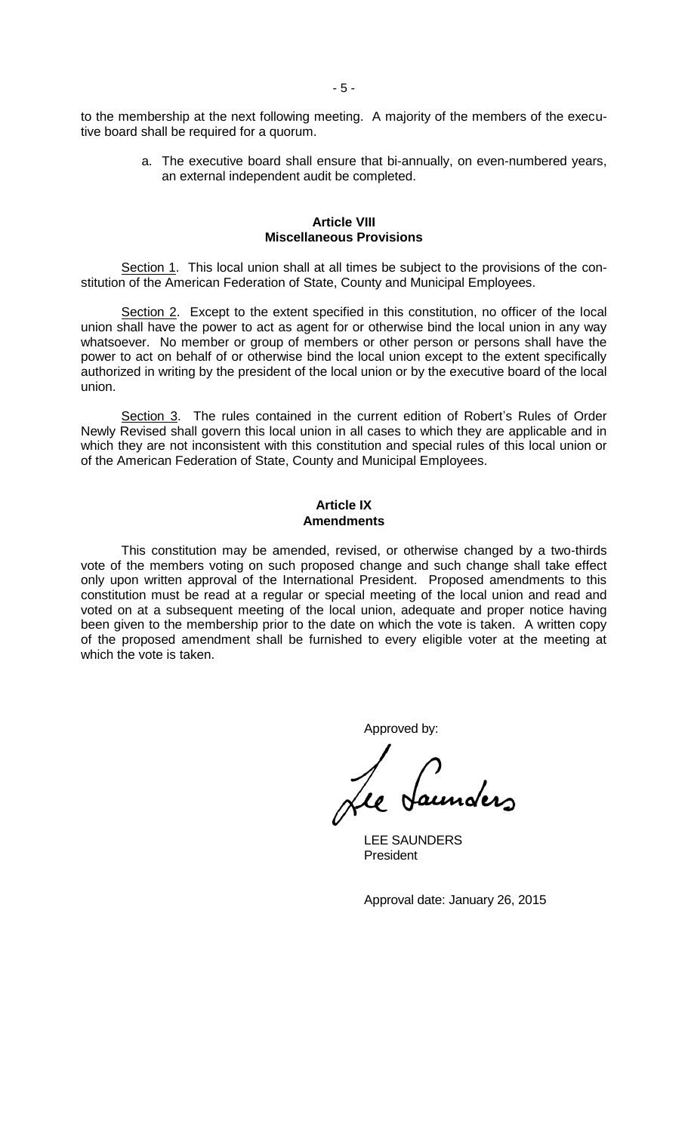to the membership at the next following meeting. A majority of the members of the executive board shall be required for a quorum.

> a. The executive board shall ensure that bi-annually, on even-numbered years, an external independent audit be completed.

#### **Article VIII Miscellaneous Provisions**

Section 1. This local union shall at all times be subject to the provisions of the constitution of the American Federation of State, County and Municipal Employees.

Section 2. Except to the extent specified in this constitution, no officer of the local union shall have the power to act as agent for or otherwise bind the local union in any way whatsoever. No member or group of members or other person or persons shall have the power to act on behalf of or otherwise bind the local union except to the extent specifically authorized in writing by the president of the local union or by the executive board of the local union.

Section 3. The rules contained in the current edition of Robert's Rules of Order Newly Revised shall govern this local union in all cases to which they are applicable and in which they are not inconsistent with this constitution and special rules of this local union or of the American Federation of State, County and Municipal Employees.

# **Article IX Amendments**

This constitution may be amended, revised, or otherwise changed by a two-thirds vote of the members voting on such proposed change and such change shall take effect only upon written approval of the International President. Proposed amendments to this constitution must be read at a regular or special meeting of the local union and read and voted on at a subsequent meeting of the local union, adequate and proper notice having been given to the membership prior to the date on which the vote is taken. A written copy of the proposed amendment shall be furnished to every eligible voter at the meeting at which the vote is taken.

Approved by:

LEE SAUNDERS **President** 

Approval date: January 26, 2015